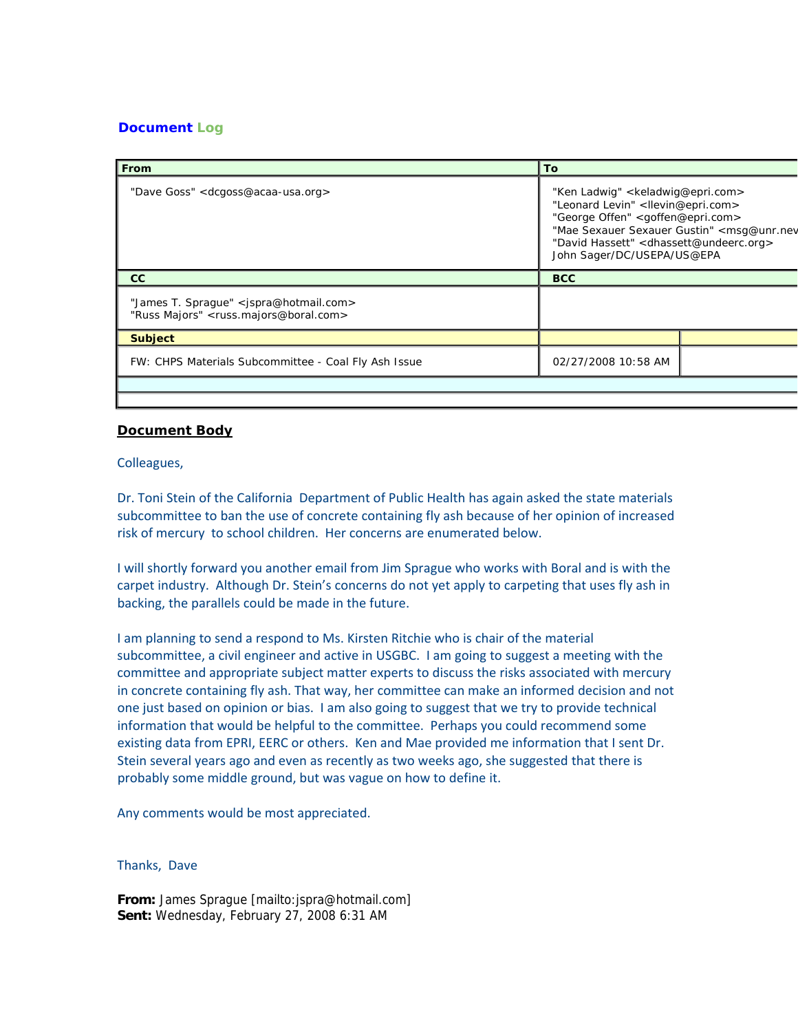## **Document Log**

| l From                                                                                                                       | <b>To</b>                                                                                                                                                                                                                                                                                      |  |
|------------------------------------------------------------------------------------------------------------------------------|------------------------------------------------------------------------------------------------------------------------------------------------------------------------------------------------------------------------------------------------------------------------------------------------|--|
| "Dave Goss" < dcgoss@acaa-usa.org>                                                                                           | "Ken Ladwig" < keladwig@epri.com><br>"Leonard Levin" <llevin@epri.com><br/>"George Offen" <goffen@epri.com><br/>"Mae Sexauer Sexauer Gustin" <msq@unr.nev<br>"David Hassett" &lt; dhassett@undeerc.org&gt;<br/>John Sager/DC/USEPA/US@EPA</msq@unr.nev<br></goffen@epri.com></llevin@epri.com> |  |
| cc                                                                                                                           | <b>BCC</b>                                                                                                                                                                                                                                                                                     |  |
| "James T. Sprague" <jspra@hotmail.com><br/>"Russ Majors" <russ.majors@boral.com></russ.majors@boral.com></jspra@hotmail.com> |                                                                                                                                                                                                                                                                                                |  |
| <b>Subject</b>                                                                                                               |                                                                                                                                                                                                                                                                                                |  |
| FW: CHPS Materials Subcommittee - Coal Fly Ash Issue                                                                         | 02/27/2008 10:58 AM                                                                                                                                                                                                                                                                            |  |
|                                                                                                                              |                                                                                                                                                                                                                                                                                                |  |

## **Document Body**

Colleagues,

Dr. Toni Stein of the California Department of Public Health has again asked the state materials subcommittee to ban the use of concrete containing fly ash because of her opinion of increased risk of mercury to school children. Her concerns are enumerated below.

I will shortly forward you another email from Jim Sprague who works with Boral and is with the carpet industry. Although Dr. Stein's concerns do not yet apply to carpeting that uses fly ash in backing, the parallels could be made in the future.

I am planning to send a respond to Ms. Kirsten Ritchie who is chair of the material subcommittee, a civil engineer and active in USGBC. I am going to suggest a meeting with the committee and appropriate subject matter experts to discuss the risks associated with mercury in concrete containing fly ash. That way, her committee can make an informed decision and not one just based on opinion or bias. I am also going to suggest that we try to provide technical information that would be helpful to the committee. Perhaps you could recommend some existing data from EPRI, EERC or others. Ken and Mae provided me information that I sent Dr. Stein several years ago and even as recently as two weeks ago, she suggested that there is probably some middle ground, but was vague on how to define it.

Any comments would be most appreciated.

## Thanks, Dave

**From:** James Sprague [mailto:jspra@hotmail.com] **Sent:** Wednesday, February 27, 2008 6:31 AM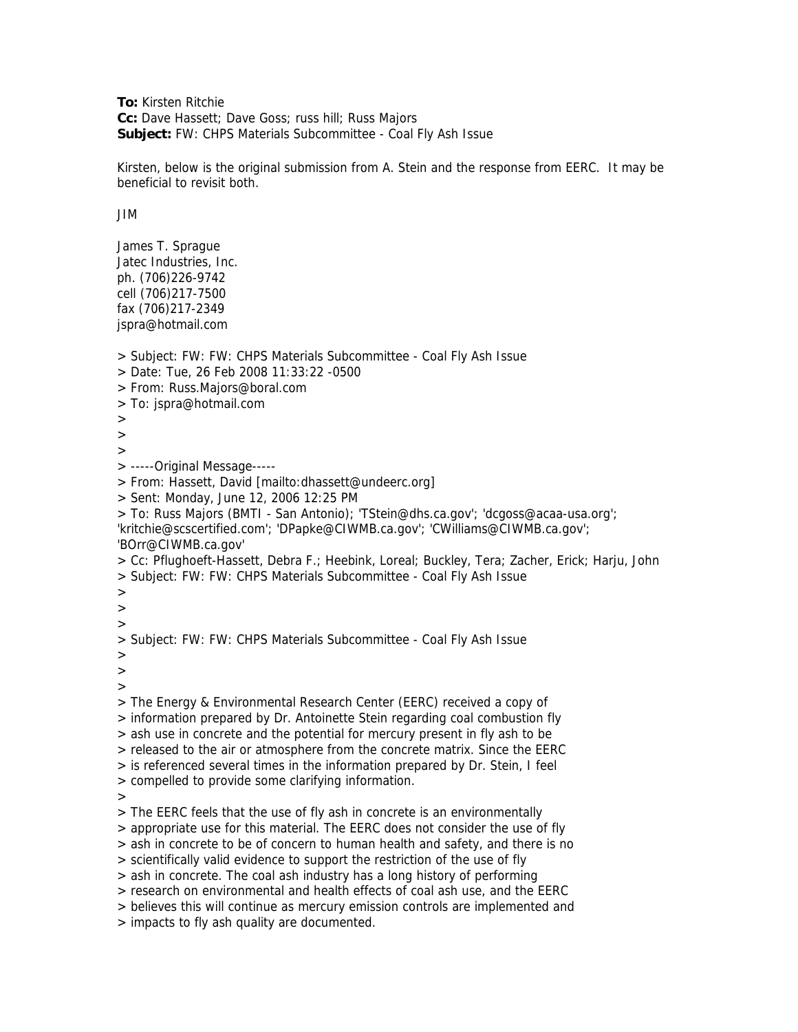**To:** Kirsten Ritchie **Cc:** Dave Hassett; Dave Goss; russ hill; Russ Majors **Subject:** FW: CHPS Materials Subcommittee - Coal Fly Ash Issue

Kirsten, below is the original submission from A. Stein and the response from EERC. It may be beneficial to revisit both.

JIM

James T. Sprague Jatec Industries, Inc. ph. (706)226-9742 cell (706)217-7500 fax (706)217-2349 jspra@hotmail.com

> Subject: FW: FW: CHPS Materials Subcommittee - Coal Fly Ash Issue > Date: Tue, 26 Feb 2008 11:33:22 -0500 > From: Russ.Majors@boral.com > To: jspra@hotmail.com  $>$ >  $\rightarrow$ > -----Original Message----- > From: Hassett, David [mailto:dhassett@undeerc.org] > Sent: Monday, June 12, 2006 12:25 PM > To: Russ Majors (BMTI - San Antonio); 'TStein@dhs.ca.gov'; 'dcgoss@acaa-usa.org'; 'kritchie@scscertified.com'; 'DPapke@CIWMB.ca.gov'; 'CWilliams@CIWMB.ca.gov'; 'BOrr@CIWMB.ca.gov' > Cc: Pflughoeft-Hassett, Debra F.; Heebink, Loreal; Buckley, Tera; Zacher, Erick; Harju, John > Subject: FW: FW: CHPS Materials Subcommittee - Coal Fly Ash Issue > > > > Subject: FW: FW: CHPS Materials Subcommittee - Coal Fly Ash Issue > > > > The Energy & Environmental Research Center (EERC) received a copy of > information prepared by Dr. Antoinette Stein regarding coal combustion fly > ash use in concrete and the potential for mercury present in fly ash to be > released to the air or atmosphere from the concrete matrix. Since the EERC > is referenced several times in the information prepared by Dr. Stein, I feel > compelled to provide some clarifying information. > > The EERC feels that the use of fly ash in concrete is an environmentally > appropriate use for this material. The EERC does not consider the use of fly > ash in concrete to be of concern to human health and safety, and there is no > scientifically valid evidence to support the restriction of the use of fly > ash in concrete. The coal ash industry has a long history of performing > research on environmental and health effects of coal ash use, and the EERC > believes this will continue as mercury emission controls are implemented and > impacts to fly ash quality are documented.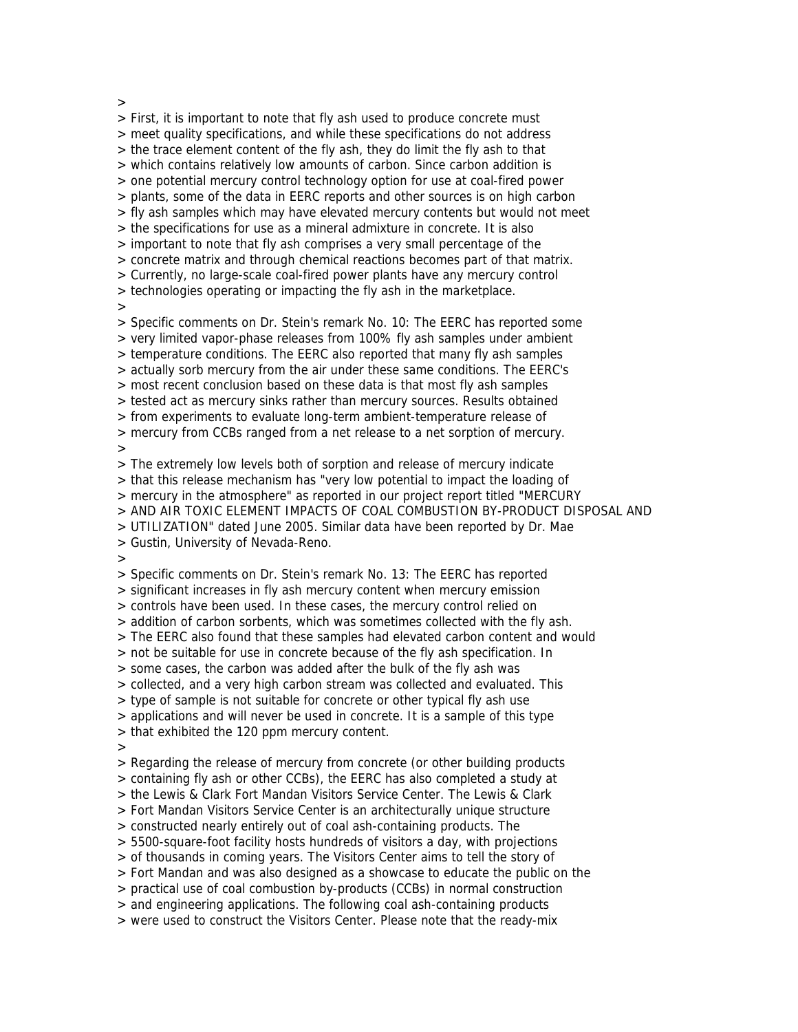>

> First, it is important to note that fly ash used to produce concrete must > meet quality specifications, and while these specifications do not address > the trace element content of the fly ash, they do limit the fly ash to that > which contains relatively low amounts of carbon. Since carbon addition is > one potential mercury control technology option for use at coal-fired power > plants, some of the data in EERC reports and other sources is on high carbon > fly ash samples which may have elevated mercury contents but would not meet > the specifications for use as a mineral admixture in concrete. It is also > important to note that fly ash comprises a very small percentage of the > concrete matrix and through chemical reactions becomes part of that matrix. > Currently, no large-scale coal-fired power plants have any mercury control > technologies operating or impacting the fly ash in the marketplace.  $\rightarrow$ > Specific comments on Dr. Stein's remark No. 10: The EERC has reported some > very limited vapor-phase releases from 100% fly ash samples under ambient > temperature conditions. The EERC also reported that many fly ash samples > actually sorb mercury from the air under these same conditions. The EERC's > most recent conclusion based on these data is that most fly ash samples > tested act as mercury sinks rather than mercury sources. Results obtained > from experiments to evaluate long-term ambient-temperature release of > mercury from CCBs ranged from a net release to a net sorption of mercury. > > The extremely low levels both of sorption and release of mercury indicate > that this release mechanism has "very low potential to impact the loading of > mercury in the atmosphere" as reported in our project report titled "MERCURY > AND AIR TOXIC ELEMENT IMPACTS OF COAL COMBUSTION BY-PRODUCT DISPOSAL AND > UTILIZATION" dated June 2005. Similar data have been reported by Dr. Mae > Gustin, University of Nevada-Reno. > > Specific comments on Dr. Stein's remark No. 13: The EERC has reported > significant increases in fly ash mercury content when mercury emission > controls have been used. In these cases, the mercury control relied on > addition of carbon sorbents, which was sometimes collected with the fly ash. > The EERC also found that these samples had elevated carbon content and would > not be suitable for use in concrete because of the fly ash specification. In > some cases, the carbon was added after the bulk of the fly ash was > collected, and a very high carbon stream was collected and evaluated. This > type of sample is not suitable for concrete or other typical fly ash use > applications and will never be used in concrete. It is a sample of this type > that exhibited the 120 ppm mercury content.  $\rightarrow$ > Regarding the release of mercury from concrete (or other building products > containing fly ash or other CCBs), the EERC has also completed a study at > the Lewis & Clark Fort Mandan Visitors Service Center. The Lewis & Clark > Fort Mandan Visitors Service Center is an architecturally unique structure > constructed nearly entirely out of coal ash-containing products. The > 5500-square-foot facility hosts hundreds of visitors a day, with projections > of thousands in coming years. The Visitors Center aims to tell the story of > Fort Mandan and was also designed as a showcase to educate the public on the > practical use of coal combustion by-products (CCBs) in normal construction > and engineering applications. The following coal ash-containing products > were used to construct the Visitors Center. Please note that the ready-mix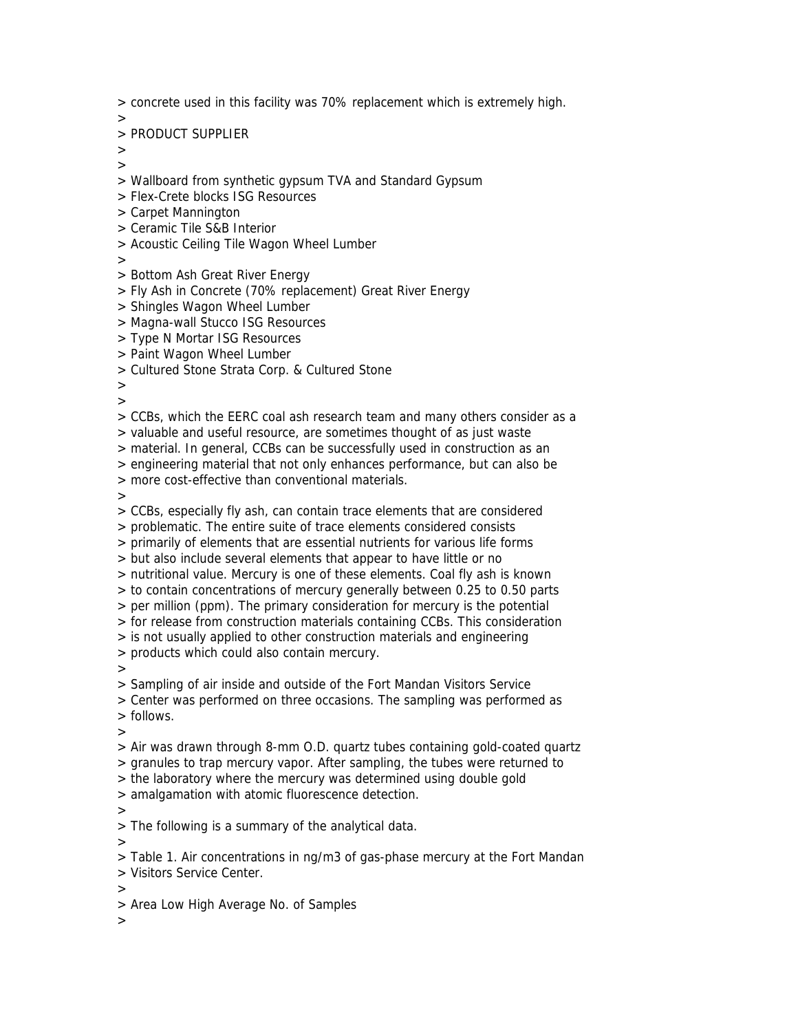> concrete used in this facility was 70% replacement which is extremely high.

>

> PRODUCT SUPPLIER

 $>$ >

- > Wallboard from synthetic gypsum TVA and Standard Gypsum
- > Flex-Crete blocks ISG Resources
- > Carpet Mannington
- > Ceramic Tile S&B Interior
- > Acoustic Ceiling Tile Wagon Wheel Lumber

>

- > Bottom Ash Great River Energy
- > Fly Ash in Concrete (70% replacement) Great River Energy
- > Shingles Wagon Wheel Lumber
- > Magna-wall Stucco ISG Resources
- > Type N Mortar ISG Resources
- > Paint Wagon Wheel Lumber
- > Cultured Stone Strata Corp. & Cultured Stone

>

>

> CCBs, which the EERC coal ash research team and many others consider as a

> valuable and useful resource, are sometimes thought of as just waste

> material. In general, CCBs can be successfully used in construction as an

> engineering material that not only enhances performance, but can also be

> more cost-effective than conventional materials.

>

> CCBs, especially fly ash, can contain trace elements that are considered

> problematic. The entire suite of trace elements considered consists

> primarily of elements that are essential nutrients for various life forms

> but also include several elements that appear to have little or no

> nutritional value. Mercury is one of these elements. Coal fly ash is known

> to contain concentrations of mercury generally between 0.25 to 0.50 parts

> per million (ppm). The primary consideration for mercury is the potential

> for release from construction materials containing CCBs. This consideration

> is not usually applied to other construction materials and engineering

> products which could also contain mercury.

>

> Sampling of air inside and outside of the Fort Mandan Visitors Service

> Center was performed on three occasions. The sampling was performed as

> follows.

>

> Air was drawn through 8-mm O.D. quartz tubes containing gold-coated quartz

> granules to trap mercury vapor. After sampling, the tubes were returned to

> the laboratory where the mercury was determined using double gold

> amalgamation with atomic fluorescence detection.

>

> The following is a summary of the analytical data.

>

> Table 1. Air concentrations in ng/m3 of gas-phase mercury at the Fort Mandan

> Visitors Service Center.

>

> Area Low High Average No. of Samples

>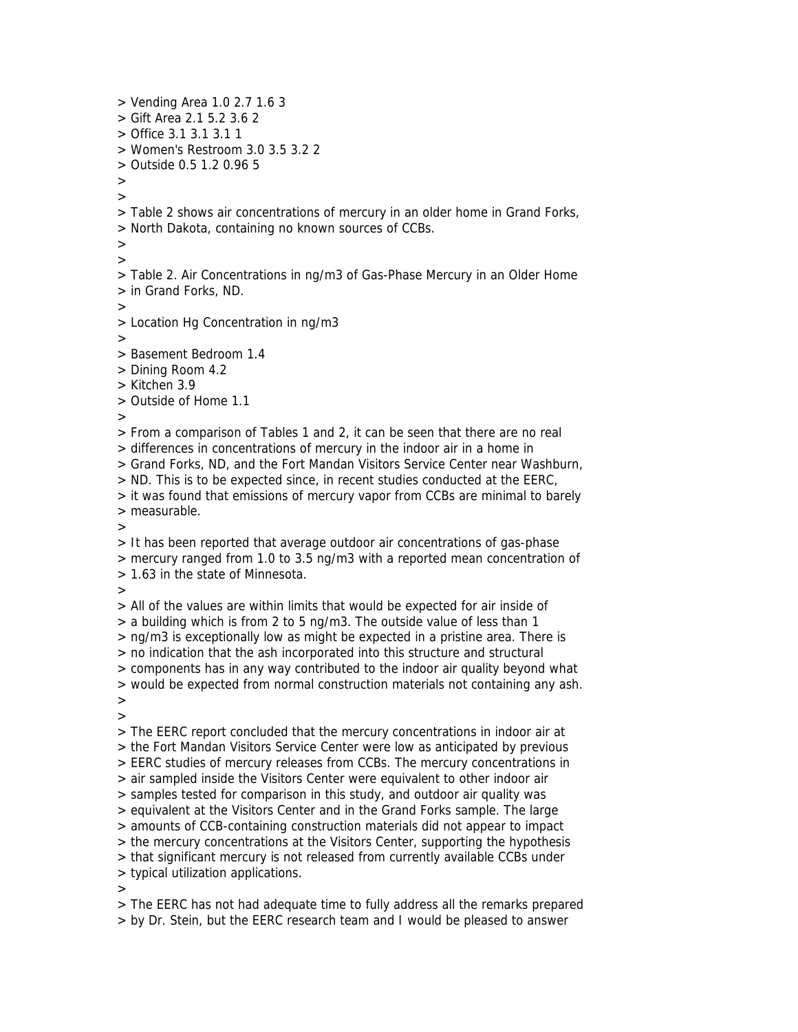> Vending Area 1.0 2.7 1.6 3  $>$  Gift Area 2.1 5.2 3.6.2 > Office 3.1 3.1 3.1 1 > Women's Restroom 3.0 3.5 3.2 2 > Outside 0.5 1.2 0.96 5  $\rightarrow$ > > Table 2 shows air concentrations of mercury in an older home in Grand Forks, > North Dakota, containing no known sources of CCBs. >  $\overline{\phantom{a}}$ > Table 2. Air Concentrations in ng/m3 of Gas-Phase Mercury in an Older Home > in Grand Forks, ND. > > Location Hg Concentration in ng/m3 > > Basement Bedroom 1.4 > Dining Room 4.2 > Kitchen 3.9 > Outside of Home 1.1 > > From a comparison of Tables 1 and 2, it can be seen that there are no real > differences in concentrations of mercury in the indoor air in a home in > Grand Forks, ND, and the Fort Mandan Visitors Service Center near Washburn, > ND. This is to be expected since, in recent studies conducted at the EERC, > it was found that emissions of mercury vapor from CCBs are minimal to barely > measurable.  $\rightarrow$ > It has been reported that average outdoor air concentrations of gas-phase > mercury ranged from 1.0 to 3.5 ng/m3 with a reported mean concentration of > 1.63 in the state of Minnesota. > > All of the values are within limits that would be expected for air inside of > a building which is from 2 to 5 ng/m3. The outside value of less than 1 > ng/m3 is exceptionally low as might be expected in a pristine area. There is > no indication that the ash incorporated into this structure and structural > components has in any way contributed to the indoor air quality beyond what > would be expected from normal construction materials not containing any ash. > > > The EERC report concluded that the mercury concentrations in indoor air at > the Fort Mandan Visitors Service Center were low as anticipated by previous > EERC studies of mercury releases from CCBs. The mercury concentrations in > air sampled inside the Visitors Center were equivalent to other indoor air > samples tested for comparison in this study, and outdoor air quality was > equivalent at the Visitors Center and in the Grand Forks sample. The large > amounts of CCB-containing construction materials did not appear to impact > the mercury concentrations at the Visitors Center, supporting the hypothesis > that significant mercury is not released from currently available CCBs under > typical utilization applications. >

> The EERC has not had adequate time to fully address all the remarks prepared > by Dr. Stein, but the EERC research team and I would be pleased to answer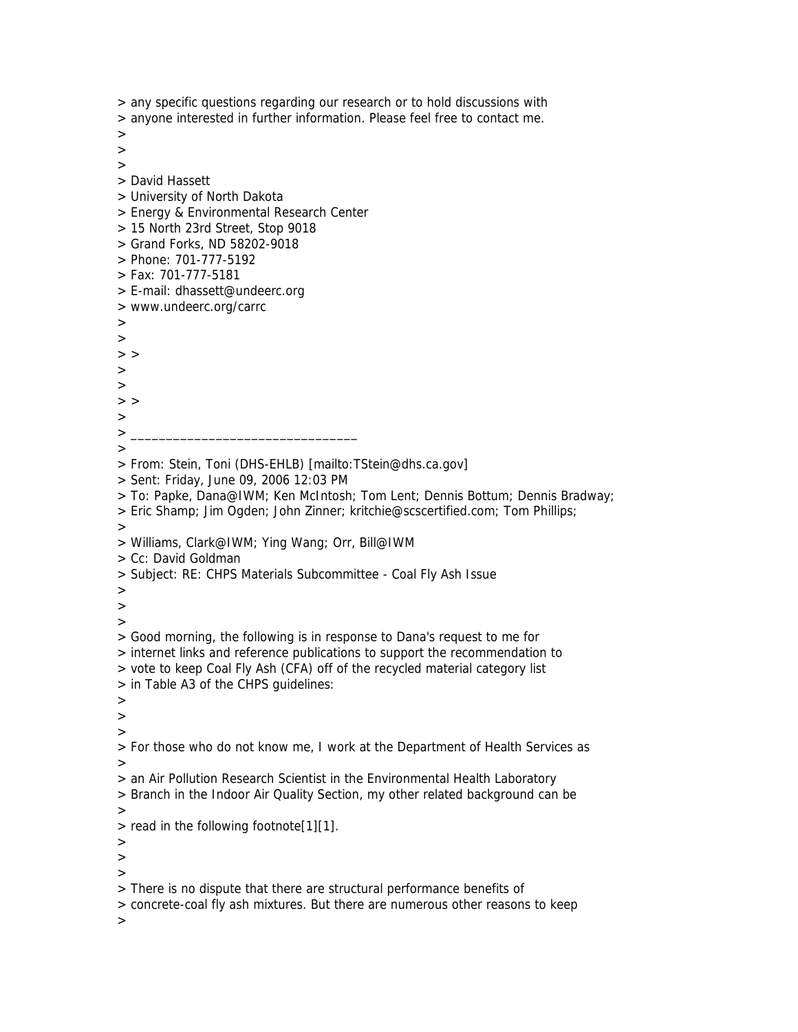> any specific questions regarding our research or to hold discussions with > anyone interested in further information. Please feel free to contact me. > > > > David Hassett > University of North Dakota > Energy & Environmental Research Center > 15 North 23rd Street, Stop 9018 > Grand Forks, ND 58202-9018 > Phone: 701-777-5192 > Fax: 701-777-5181 > E-mail: dhassett@undeerc.org > www.undeerc.org/carrc  $\,>$ >  $>$  > > >  $>$  > > > \_\_\_\_\_\_\_\_\_\_\_\_\_\_\_\_\_\_\_\_\_\_\_\_\_\_\_\_\_\_\_\_ > > From: Stein, Toni (DHS-EHLB) [mailto:TStein@dhs.ca.gov] > Sent: Friday, June 09, 2006 12:03 PM > To: Papke, Dana@IWM; Ken McIntosh; Tom Lent; Dennis Bottum; Dennis Bradway; > Eric Shamp; Jim Ogden; John Zinner; kritchie@scscertified.com; Tom Phillips;  $\rightarrow$ > Williams, Clark@IWM; Ying Wang; Orr, Bill@IWM > Cc: David Goldman > Subject: RE: CHPS Materials Subcommittee - Coal Fly Ash Issue > > > > Good morning, the following is in response to Dana's request to me for > internet links and reference publications to support the recommendation to > vote to keep Coal Fly Ash (CFA) off of the recycled material category list > in Table A3 of the CHPS guidelines: > > > > For those who do not know me, I work at the Department of Health Services as > > an Air Pollution Research Scientist in the Environmental Health Laboratory > Branch in the Indoor Air Quality Section, my other related background can be > > read in the following footnote[1][1]. >  $\rightarrow$  $>$ > There is no dispute that there are structural performance benefits of > concrete-coal fly ash mixtures. But there are numerous other reasons to keep >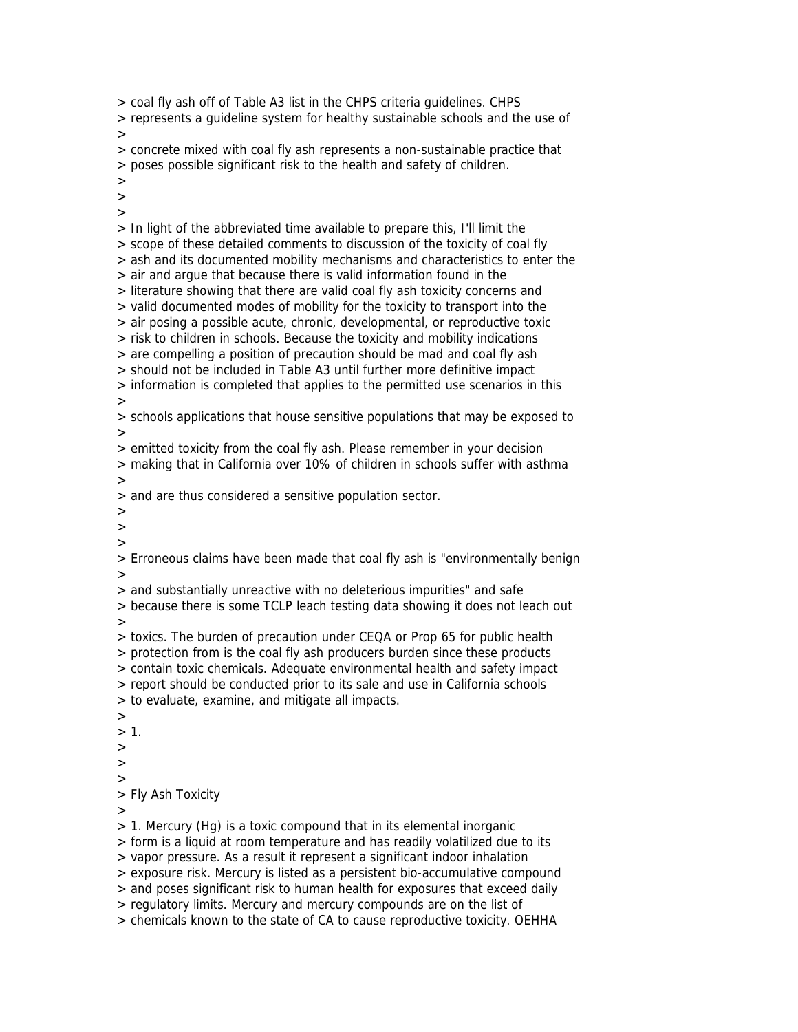> coal fly ash off of Table A3 list in the CHPS criteria guidelines. CHPS > represents a guideline system for healthy sustainable schools and the use of > > concrete mixed with coal fly ash represents a non-sustainable practice that > poses possible significant risk to the health and safety of children. > > > > In light of the abbreviated time available to prepare this, I'll limit the > scope of these detailed comments to discussion of the toxicity of coal fly > ash and its documented mobility mechanisms and characteristics to enter the > air and argue that because there is valid information found in the > literature showing that there are valid coal fly ash toxicity concerns and > valid documented modes of mobility for the toxicity to transport into the > air posing a possible acute, chronic, developmental, or reproductive toxic > risk to children in schools. Because the toxicity and mobility indications > are compelling a position of precaution should be mad and coal fly ash > should not be included in Table A3 until further more definitive impact > information is completed that applies to the permitted use scenarios in this > > schools applications that house sensitive populations that may be exposed to > > emitted toxicity from the coal fly ash. Please remember in your decision > making that in California over 10% of children in schools suffer with asthma > > and are thus considered a sensitive population sector. >  $\rightarrow$ > > Erroneous claims have been made that coal fly ash is "environmentally benign > > and substantially unreactive with no deleterious impurities" and safe > because there is some TCLP leach testing data showing it does not leach out > > toxics. The burden of precaution under CEQA or Prop 65 for public health > protection from is the coal fly ash producers burden since these products > contain toxic chemicals. Adequate environmental health and safety impact > report should be conducted prior to its sale and use in California schools > to evaluate, examine, and mitigate all impacts. >  $> 1$ . > > > > Fly Ash Toxicity > > 1. Mercury (Hg) is a toxic compound that in its elemental inorganic > form is a liquid at room temperature and has readily volatilized due to its > vapor pressure. As a result it represent a significant indoor inhalation > exposure risk. Mercury is listed as a persistent bio-accumulative compound > and poses significant risk to human health for exposures that exceed daily > regulatory limits. Mercury and mercury compounds are on the list of > chemicals known to the state of CA to cause reproductive toxicity. OEHHA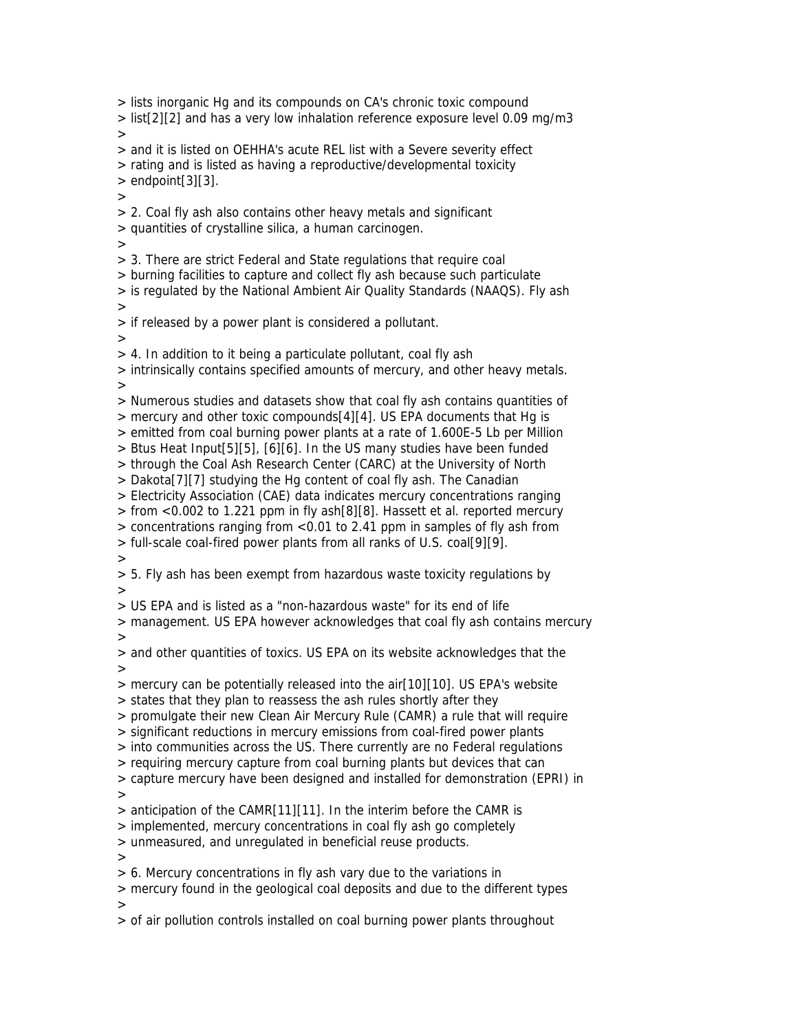> lists inorganic Hg and its compounds on CA's chronic toxic compound > list[2][2] and has a very low inhalation reference exposure level 0.09 mg/m3  $\rightarrow$ > and it is listed on OEHHA's acute REL list with a Severe severity effect > rating and is listed as having a reproductive/developmental toxicity  $>$  endpoint[3][3].  $\rightarrow$ > 2. Coal fly ash also contains other heavy metals and significant > quantities of crystalline silica, a human carcinogen. > > 3. There are strict Federal and State regulations that require coal > burning facilities to capture and collect fly ash because such particulate > is regulated by the National Ambient Air Quality Standards (NAAQS). Fly ash > > if released by a power plant is considered a pollutant. > > 4. In addition to it being a particulate pollutant, coal fly ash > intrinsically contains specified amounts of mercury, and other heavy metals. > > Numerous studies and datasets show that coal fly ash contains quantities of > mercury and other toxic compounds[4][4]. US EPA documents that Hg is > emitted from coal burning power plants at a rate of 1.600E-5 Lb per Million > Btus Heat Input[5][5], [6][6]. In the US many studies have been funded > through the Coal Ash Research Center (CARC) at the University of North > Dakota[7][7] studying the Hg content of coal fly ash. The Canadian > Electricity Association (CAE) data indicates mercury concentrations ranging > from <0.002 to 1.221 ppm in fly ash[8][8]. Hassett et al. reported mercury > concentrations ranging from <0.01 to 2.41 ppm in samples of fly ash from > full-scale coal-fired power plants from all ranks of U.S. coal[9][9]. > > 5. Fly ash has been exempt from hazardous waste toxicity regulations by > > US EPA and is listed as a "non-hazardous waste" for its end of life > management. US EPA however acknowledges that coal fly ash contains mercury > > and other quantities of toxics. US EPA on its website acknowledges that the > > mercury can be potentially released into the air[10][10]. US EPA's website > states that they plan to reassess the ash rules shortly after they > promulgate their new Clean Air Mercury Rule (CAMR) a rule that will require > significant reductions in mercury emissions from coal-fired power plants > into communities across the US. There currently are no Federal regulations > requiring mercury capture from coal burning plants but devices that can > capture mercury have been designed and installed for demonstration (EPRI) in > > anticipation of the CAMR[11][11]. In the interim before the CAMR is > implemented, mercury concentrations in coal fly ash go completely > unmeasured, and unregulated in beneficial reuse products.  $\rightarrow$ > 6. Mercury concentrations in fly ash vary due to the variations in > mercury found in the geological coal deposits and due to the different types  $\rightarrow$ > of air pollution controls installed on coal burning power plants throughout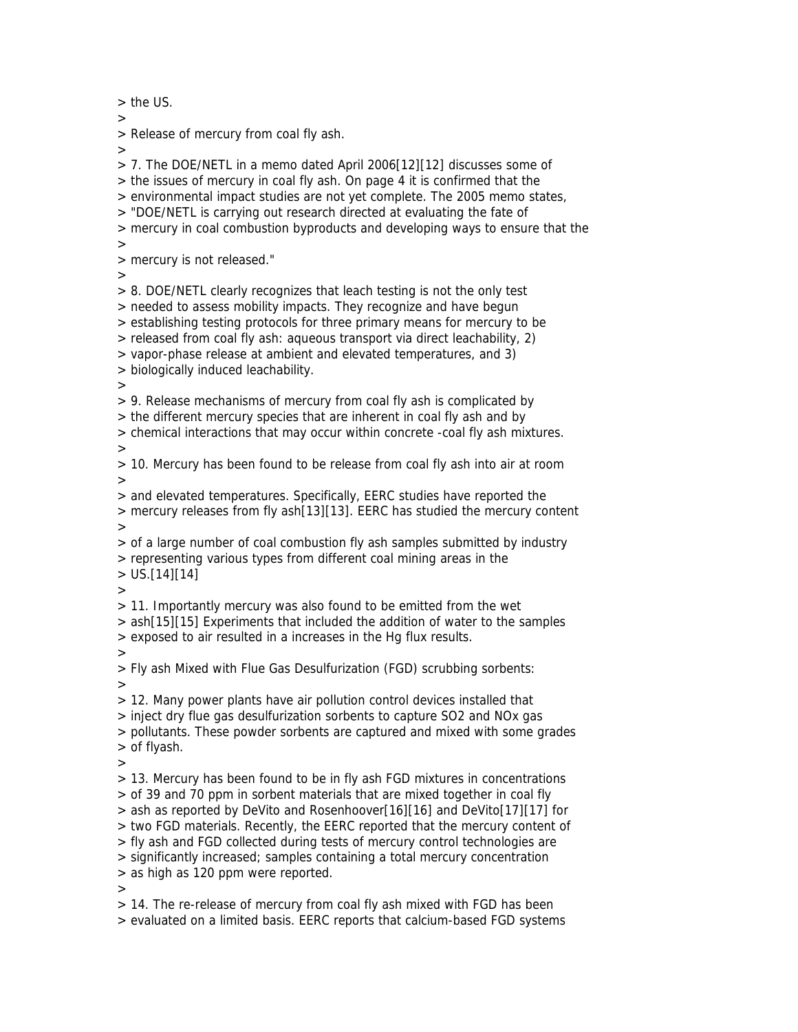> the US.

>

> Release of mercury from coal fly ash.

 $>$ > 7. The DOE/NETL in a memo dated April 2006[12][12] discusses some of

> the issues of mercury in coal fly ash. On page 4 it is confirmed that the

> environmental impact studies are not yet complete. The 2005 memo states,

> "DOE/NETL is carrying out research directed at evaluating the fate of

> mercury in coal combustion byproducts and developing ways to ensure that the

>

> mercury is not released."

>

> 8. DOE/NETL clearly recognizes that leach testing is not the only test

> needed to assess mobility impacts. They recognize and have begun

> establishing testing protocols for three primary means for mercury to be

> released from coal fly ash: aqueous transport via direct leachability, 2)

> vapor-phase release at ambient and elevated temperatures, and 3)

> biologically induced leachability.

>

> 9. Release mechanisms of mercury from coal fly ash is complicated by

> the different mercury species that are inherent in coal fly ash and by

> chemical interactions that may occur within concrete -coal fly ash mixtures.

>

> 10. Mercury has been found to be release from coal fly ash into air at room >

> and elevated temperatures. Specifically, EERC studies have reported the > mercury releases from fly ash[13][13]. EERC has studied the mercury content  $\rightarrow$ 

> of a large number of coal combustion fly ash samples submitted by industry > representing various types from different coal mining areas in the

 $>$  US.[14][14]

>

> 11. Importantly mercury was also found to be emitted from the wet

> ash[15][15] Experiments that included the addition of water to the samples

> exposed to air resulted in a increases in the Hg flux results.

>

> Fly ash Mixed with Flue Gas Desulfurization (FGD) scrubbing sorbents: >

> 12. Many power plants have air pollution control devices installed that

> inject dry flue gas desulfurization sorbents to capture SO2 and NOx gas

> pollutants. These powder sorbents are captured and mixed with some grades > of flyash.

>

> 13. Mercury has been found to be in fly ash FGD mixtures in concentrations > of 39 and 70 ppm in sorbent materials that are mixed together in coal fly

> ash as reported by DeVito and Rosenhoover[16][16] and DeVito[17][17] for

> two FGD materials. Recently, the EERC reported that the mercury content of

> fly ash and FGD collected during tests of mercury control technologies are

> significantly increased; samples containing a total mercury concentration

> as high as 120 ppm were reported.

>

> 14. The re-release of mercury from coal fly ash mixed with FGD has been > evaluated on a limited basis. EERC reports that calcium-based FGD systems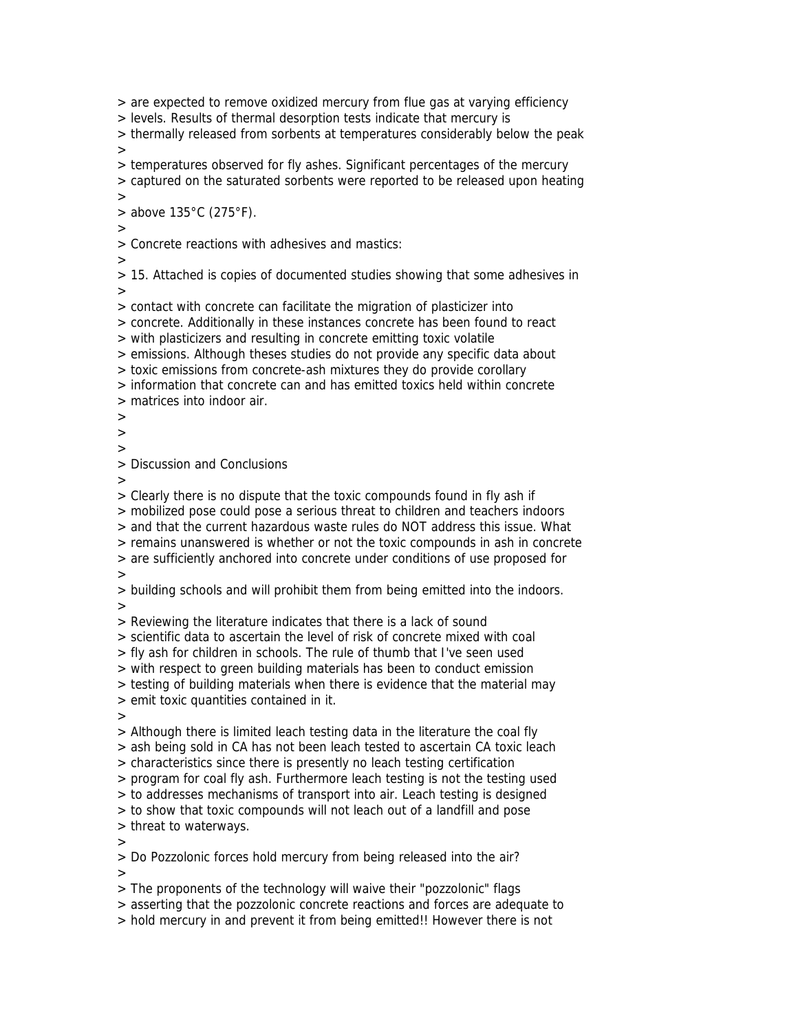> are expected to remove oxidized mercury from flue gas at varying efficiency

> levels. Results of thermal desorption tests indicate that mercury is

> thermally released from sorbents at temperatures considerably below the peak  $>$ 

> temperatures observed for fly ashes. Significant percentages of the mercury

> captured on the saturated sorbents were reported to be released upon heating

 $\rightarrow$ 

 $>$  above 135°C (275°F).

>

> Concrete reactions with adhesives and mastics:

>

> 15. Attached is copies of documented studies showing that some adhesives in >

> contact with concrete can facilitate the migration of plasticizer into

> concrete. Additionally in these instances concrete has been found to react

> with plasticizers and resulting in concrete emitting toxic volatile

> emissions. Although theses studies do not provide any specific data about

> toxic emissions from concrete-ash mixtures they do provide corollary

> information that concrete can and has emitted toxics held within concrete

> matrices into indoor air.

 $\ddot{\phantom{1}}$ 

>

>

> Discussion and Conclusions

>

> Clearly there is no dispute that the toxic compounds found in fly ash if

> mobilized pose could pose a serious threat to children and teachers indoors

> and that the current hazardous waste rules do NOT address this issue. What

> remains unanswered is whether or not the toxic compounds in ash in concrete

> are sufficiently anchored into concrete under conditions of use proposed for

>

> building schools and will prohibit them from being emitted into the indoors. >

> Reviewing the literature indicates that there is a lack of sound

> scientific data to ascertain the level of risk of concrete mixed with coal

> fly ash for children in schools. The rule of thumb that I've seen used

> with respect to green building materials has been to conduct emission

> testing of building materials when there is evidence that the material may

> emit toxic quantities contained in it.

 $\ddot{\phantom{1}}$ 

> Although there is limited leach testing data in the literature the coal fly

> ash being sold in CA has not been leach tested to ascertain CA toxic leach

> characteristics since there is presently no leach testing certification

> program for coal fly ash. Furthermore leach testing is not the testing used

> to addresses mechanisms of transport into air. Leach testing is designed

> to show that toxic compounds will not leach out of a landfill and pose

> threat to waterways.

>

> Do Pozzolonic forces hold mercury from being released into the air?

 $>$ 

> The proponents of the technology will waive their "pozzolonic" flags

> asserting that the pozzolonic concrete reactions and forces are adequate to

> hold mercury in and prevent it from being emitted!! However there is not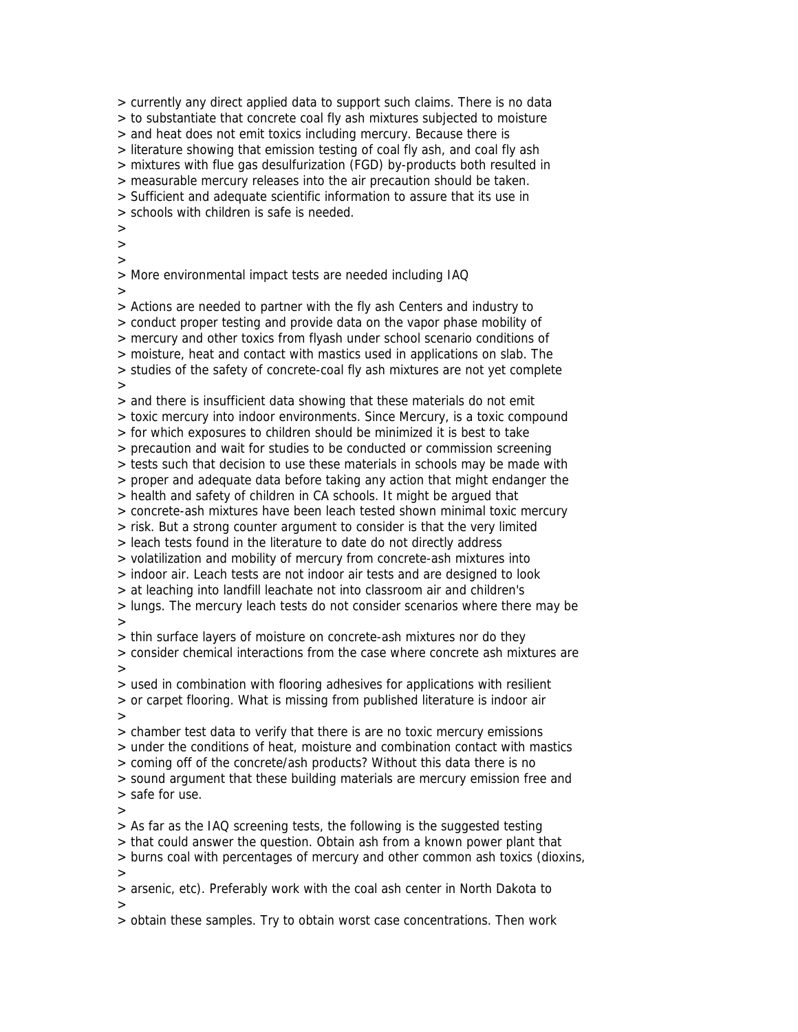> currently any direct applied data to support such claims. There is no data > to substantiate that concrete coal fly ash mixtures subjected to moisture > and heat does not emit toxics including mercury. Because there is > literature showing that emission testing of coal fly ash, and coal fly ash > mixtures with flue gas desulfurization (FGD) by-products both resulted in > measurable mercury releases into the air precaution should be taken. > Sufficient and adequate scientific information to assure that its use in > schools with children is safe is needed.  $\overline{\phantom{0}}$  $\ddot{\phantom{1}}$  $\overline{\phantom{0}}$ > More environmental impact tests are needed including IAQ > > Actions are needed to partner with the fly ash Centers and industry to > conduct proper testing and provide data on the vapor phase mobility of > mercury and other toxics from flyash under school scenario conditions of > moisture, heat and contact with mastics used in applications on slab. The > studies of the safety of concrete-coal fly ash mixtures are not yet complete > > and there is insufficient data showing that these materials do not emit > toxic mercury into indoor environments. Since Mercury, is a toxic compound > for which exposures to children should be minimized it is best to take > precaution and wait for studies to be conducted or commission screening > tests such that decision to use these materials in schools may be made with > proper and adequate data before taking any action that might endanger the > health and safety of children in CA schools. It might be argued that > concrete-ash mixtures have been leach tested shown minimal toxic mercury > risk. But a strong counter argument to consider is that the very limited > leach tests found in the literature to date do not directly address > volatilization and mobility of mercury from concrete-ash mixtures into > indoor air. Leach tests are not indoor air tests and are designed to look > at leaching into landfill leachate not into classroom air and children's > lungs. The mercury leach tests do not consider scenarios where there may be  $>$ > thin surface layers of moisture on concrete-ash mixtures nor do they > consider chemical interactions from the case where concrete ash mixtures are > > used in combination with flooring adhesives for applications with resilient > or carpet flooring. What is missing from published literature is indoor air  $\rightarrow$ > chamber test data to verify that there is are no toxic mercury emissions > under the conditions of heat, moisture and combination contact with mastics > coming off of the concrete/ash products? Without this data there is no > sound argument that these building materials are mercury emission free and > safe for use. > > As far as the IAQ screening tests, the following is the suggested testing > that could answer the question. Obtain ash from a known power plant that > burns coal with percentages of mercury and other common ash toxics (dioxins,  $>$ > arsenic, etc). Preferably work with the coal ash center in North Dakota to > > obtain these samples. Try to obtain worst case concentrations. Then work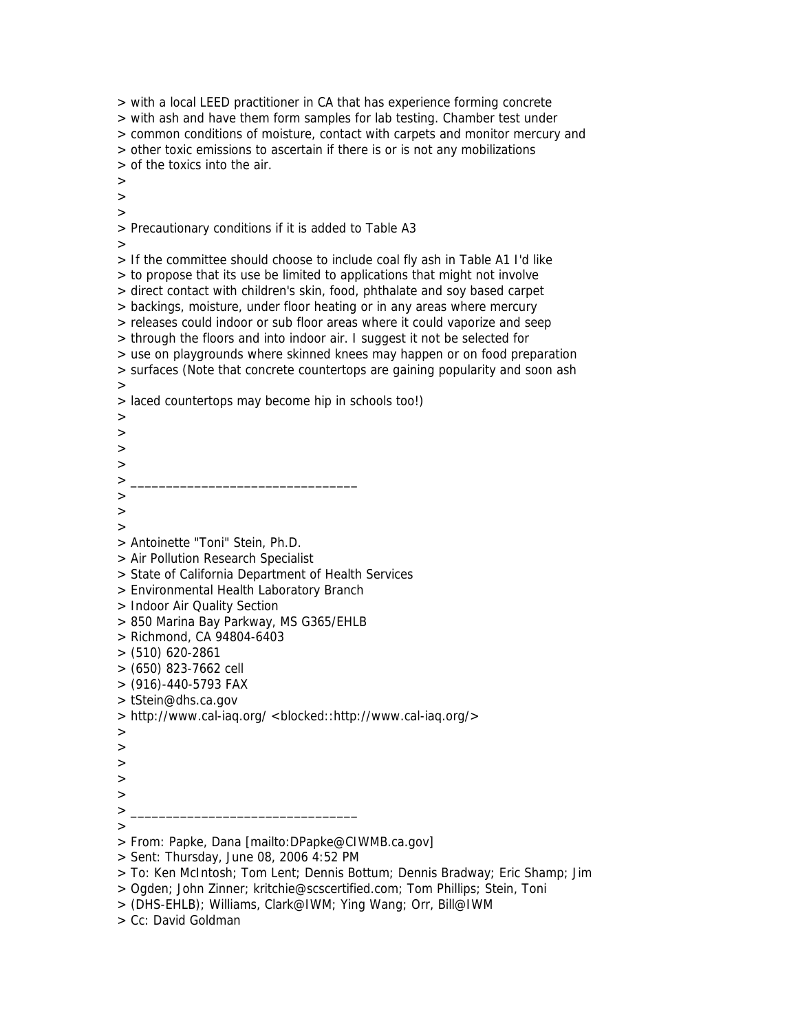> with a local LEED practitioner in CA that has experience forming concrete > with ash and have them form samples for lab testing. Chamber test under > common conditions of moisture, contact with carpets and monitor mercury and > other toxic emissions to ascertain if there is or is not any mobilizations > of the toxics into the air. > > > > Precautionary conditions if it is added to Table A3 > > If the committee should choose to include coal fly ash in Table A1 I'd like > to propose that its use be limited to applications that might not involve > direct contact with children's skin, food, phthalate and soy based carpet > backings, moisture, under floor heating or in any areas where mercury > releases could indoor or sub floor areas where it could vaporize and seep > through the floors and into indoor air. I suggest it not be selected for > use on playgrounds where skinned knees may happen or on food preparation > surfaces (Note that concrete countertops are gaining popularity and soon ash > > laced countertops may become hip in schools too!)  $\rightarrow$ > > > > \_\_\_\_\_\_\_\_\_\_\_\_\_\_\_\_\_\_\_\_\_\_\_\_\_\_\_\_\_\_\_\_ > >  $\rightarrow$ > Antoinette "Toni" Stein, Ph.D. > Air Pollution Research Specialist > State of California Department of Health Services > Environmental Health Laboratory Branch > Indoor Air Quality Section > 850 Marina Bay Parkway, MS G365/EHLB > Richmond, CA 94804-6403 > (510) 620-2861 > (650) 823-7662 cell > (916)-440-5793 FAX > tStein@dhs.ca.gov > http://www.cal-iaq.org/ <blocked::http://www.cal-iaq.org/> >  $\rightarrow$ > > > > \_\_\_\_\_\_\_\_\_\_\_\_\_\_\_\_\_\_\_\_\_\_\_\_\_\_\_\_\_\_\_\_ > > From: Papke, Dana [mailto:DPapke@CIWMB.ca.gov] > Sent: Thursday, June 08, 2006 4:52 PM > To: Ken McIntosh; Tom Lent; Dennis Bottum; Dennis Bradway; Eric Shamp; Jim > Ogden; John Zinner; kritchie@scscertified.com; Tom Phillips; Stein, Toni

> Cc: David Goldman

<sup>&</sup>gt; (DHS-EHLB); Williams, Clark@IWM; Ying Wang; Orr, Bill@IWM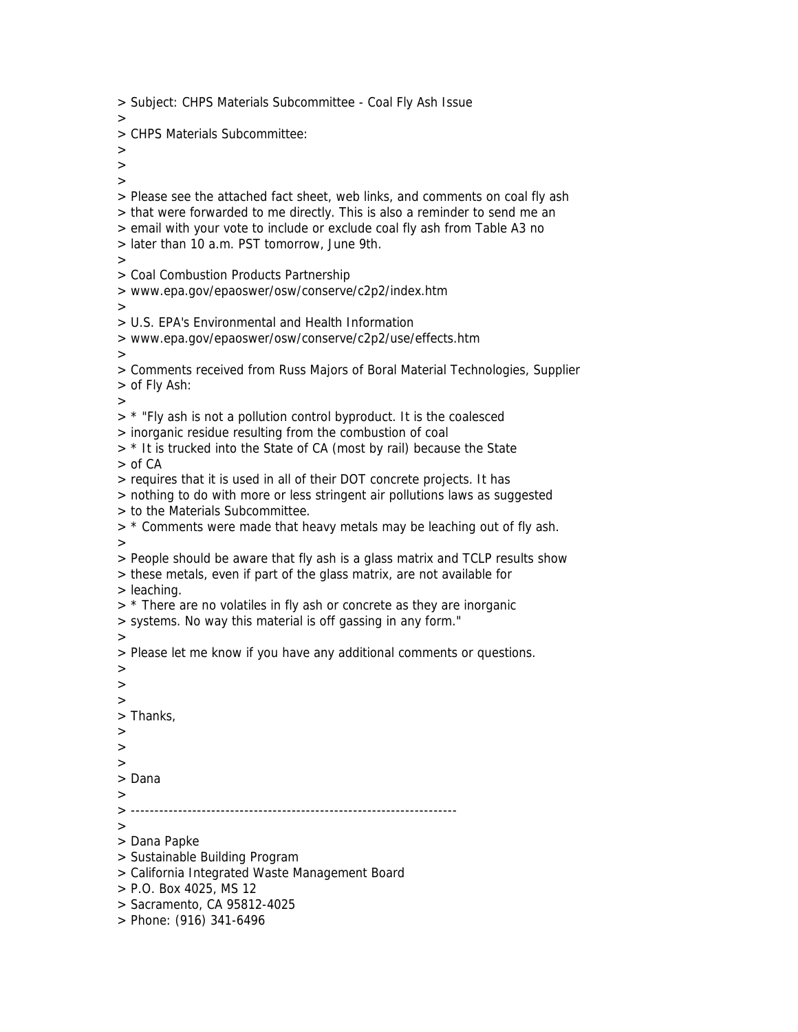> Subject: CHPS Materials Subcommittee - Coal Fly Ash Issue > > CHPS Materials Subcommittee:  $>$ > > > Please see the attached fact sheet, web links, and comments on coal fly ash > that were forwarded to me directly. This is also a reminder to send me an > email with your vote to include or exclude coal fly ash from Table A3 no > later than 10 a.m. PST tomorrow, June 9th. > > Coal Combustion Products Partnership > www.epa.gov/epaoswer/osw/conserve/c2p2/index.htm > > U.S. EPA's Environmental and Health Information > www.epa.gov/epaoswer/osw/conserve/c2p2/use/effects.htm > > Comments received from Russ Majors of Boral Material Technologies, Supplier > of Fly Ash: > > \* "Fly ash is not a pollution control byproduct. It is the coalesced > inorganic residue resulting from the combustion of coal > \* It is trucked into the State of CA (most by rail) because the State > of CA > requires that it is used in all of their DOT concrete projects. It has > nothing to do with more or less stringent air pollutions laws as suggested > to the Materials Subcommittee.  $>$  \* Comments were made that heavy metals may be leaching out of fly ash. > > People should be aware that fly ash is a glass matrix and TCLP results show > these metals, even if part of the glass matrix, are not available for > leaching.  $>$  \* There are no volatiles in fly ash or concrete as they are inorganic > systems. No way this material is off gassing in any form." > > Please let me know if you have any additional comments or questions. > > > > Thanks, > > > > Dana > > --------------------------------------------------------------------- > > Dana Papke > Sustainable Building Program > California Integrated Waste Management Board > P.O. Box 4025, MS 12 > Sacramento, CA 95812-4025 > Phone: (916) 341-6496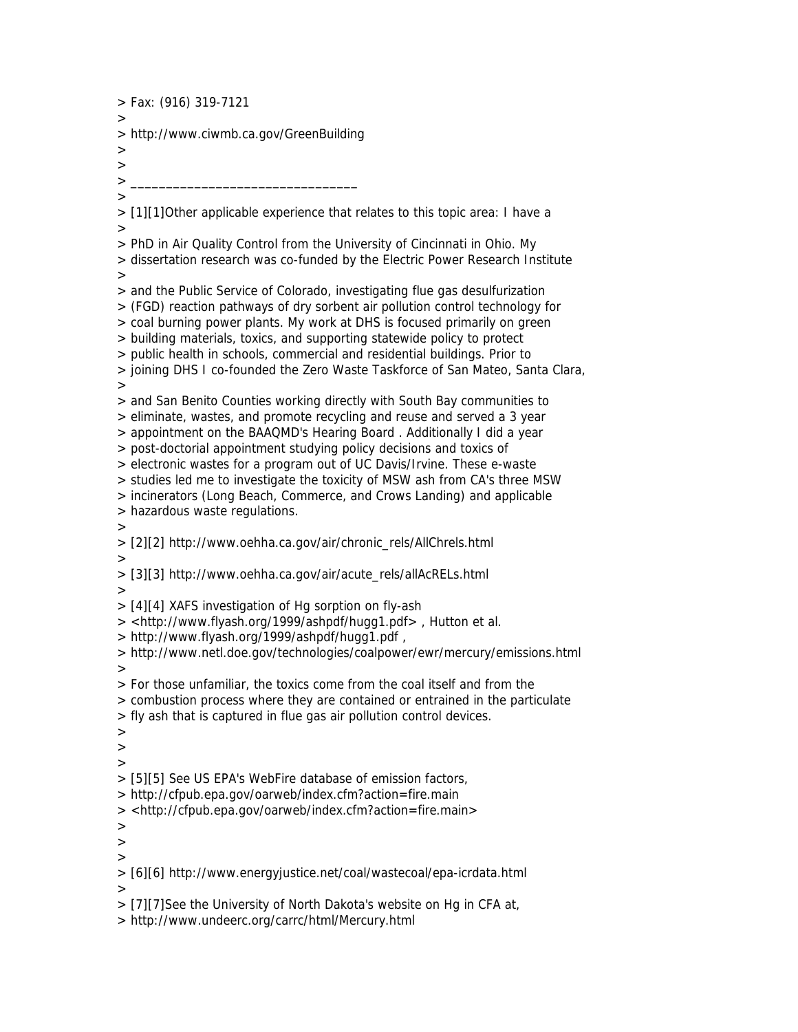> Fax: (916) 319-7121 > > http://www.ciwmb.ca.gov/GreenBuilding  $>$ > > \_\_\_\_\_\_\_\_\_\_\_\_\_\_\_\_\_\_\_\_\_\_\_\_\_\_\_\_\_\_\_\_ > > [1][1]Other applicable experience that relates to this topic area: I have a > > PhD in Air Quality Control from the University of Cincinnati in Ohio. My > dissertation research was co-funded by the Electric Power Research Institute > > and the Public Service of Colorado, investigating flue gas desulfurization > (FGD) reaction pathways of dry sorbent air pollution control technology for > coal burning power plants. My work at DHS is focused primarily on green > building materials, toxics, and supporting statewide policy to protect > public health in schools, commercial and residential buildings. Prior to > joining DHS I co-founded the Zero Waste Taskforce of San Mateo, Santa Clara, > > and San Benito Counties working directly with South Bay communities to > eliminate, wastes, and promote recycling and reuse and served a 3 year > appointment on the BAAQMD's Hearing Board . Additionally I did a year > post-doctorial appointment studying policy decisions and toxics of > electronic wastes for a program out of UC Davis/Irvine. These e-waste > studies led me to investigate the toxicity of MSW ash from CA's three MSW > incinerators (Long Beach, Commerce, and Crows Landing) and applicable > hazardous waste regulations.  $\rightarrow$ > [2][2] http://www.oehha.ca.gov/air/chronic\_rels/AllChrels.html > > [3][3] http://www.oehha.ca.gov/air/acute\_rels/allAcRELs.html > > [4][4] XAFS investigation of Hg sorption on fly-ash > <http://www.flyash.org/1999/ashpdf/hugg1.pdf> , Hutton et al. > http://www.flyash.org/1999/ashpdf/hugg1.pdf , > http://www.netl.doe.gov/technologies/coalpower/ewr/mercury/emissions.html > > For those unfamiliar, the toxics come from the coal itself and from the > combustion process where they are contained or entrained in the particulate > fly ash that is captured in flue gas air pollution control devices. >  $\rightarrow$ > > [5][5] See US EPA's WebFire database of emission factors, > http://cfpub.epa.gov/oarweb/index.cfm?action=fire.main > <http://cfpub.epa.gov/oarweb/index.cfm?action=fire.main> > >  $>$ > [6][6] http://www.energyjustice.net/coal/wastecoal/epa-icrdata.html > > [7][7]See the University of North Dakota's website on Hg in CFA at, > http://www.undeerc.org/carrc/html/Mercury.html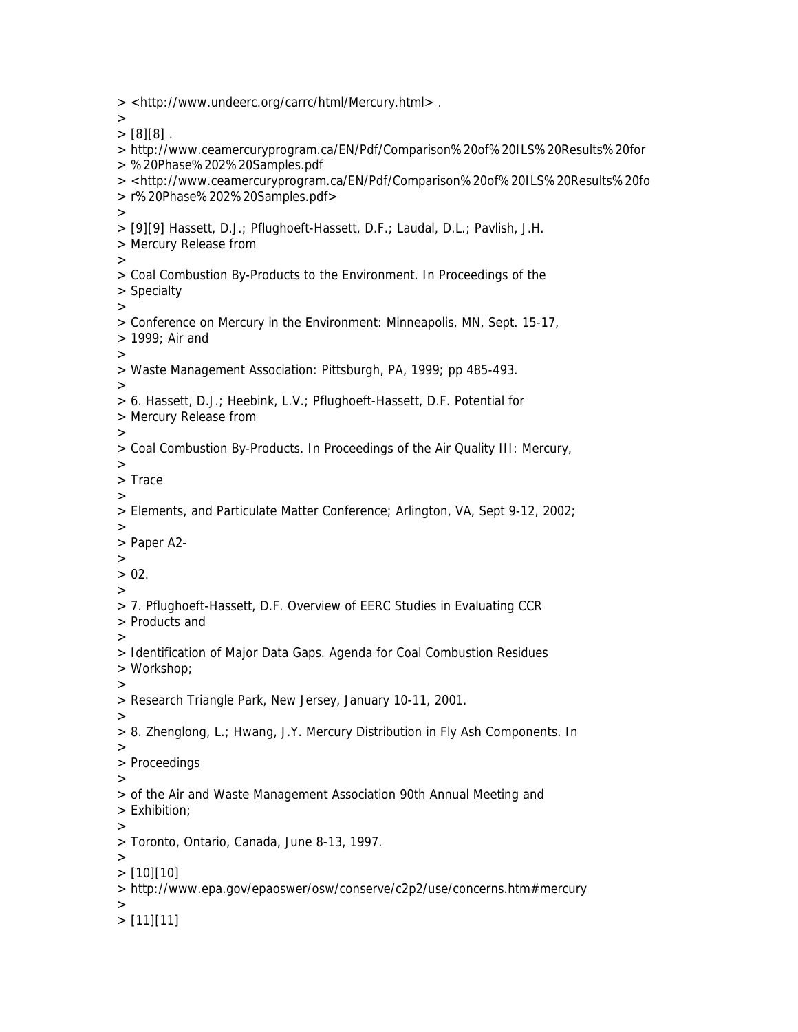> <http://www.undeerc.org/carrc/html/Mercury.html> .  $\rightarrow$  $>[8][8]$ . > http://www.ceamercuryprogram.ca/EN/Pdf/Comparison%20of%20ILS%20Results%20for > %20Phase%202%20Samples.pdf > <http://www.ceamercuryprogram.ca/EN/Pdf/Comparison%20of%20ILS%20Results%20fo > r%20Phase%202%20Samples.pdf> > > [9][9] Hassett, D.J.; Pflughoeft-Hassett, D.F.; Laudal, D.L.; Pavlish, J.H. > Mercury Release from > > Coal Combustion By-Products to the Environment. In Proceedings of the > Specialty > > Conference on Mercury in the Environment: Minneapolis, MN, Sept. 15-17, > 1999; Air and > > Waste Management Association: Pittsburgh, PA, 1999; pp 485-493. > > 6. Hassett, D.J.; Heebink, L.V.; Pflughoeft-Hassett, D.F. Potential for > Mercury Release from > > Coal Combustion By-Products. In Proceedings of the Air Quality III: Mercury, > > Trace > > Elements, and Particulate Matter Conference; Arlington, VA, Sept 9-12, 2002;  $\rightarrow$ > Paper A2- >  $> 02.$  $\overline{\phantom{0}}$ > 7. Pflughoeft-Hassett, D.F. Overview of EERC Studies in Evaluating CCR > Products and > > Identification of Major Data Gaps. Agenda for Coal Combustion Residues > Workshop; > > Research Triangle Park, New Jersey, January 10-11, 2001. > > 8. Zhenglong, L.; Hwang, J.Y. Mercury Distribution in Fly Ash Components. In > > Proceedings > > of the Air and Waste Management Association 90th Annual Meeting and > Exhibition; > > Toronto, Ontario, Canada, June 8-13, 1997.  $\rightarrow$  $> [10][10]$ > http://www.epa.gov/epaoswer/osw/conserve/c2p2/use/concerns.htm#mercury >  $>$  [11][11]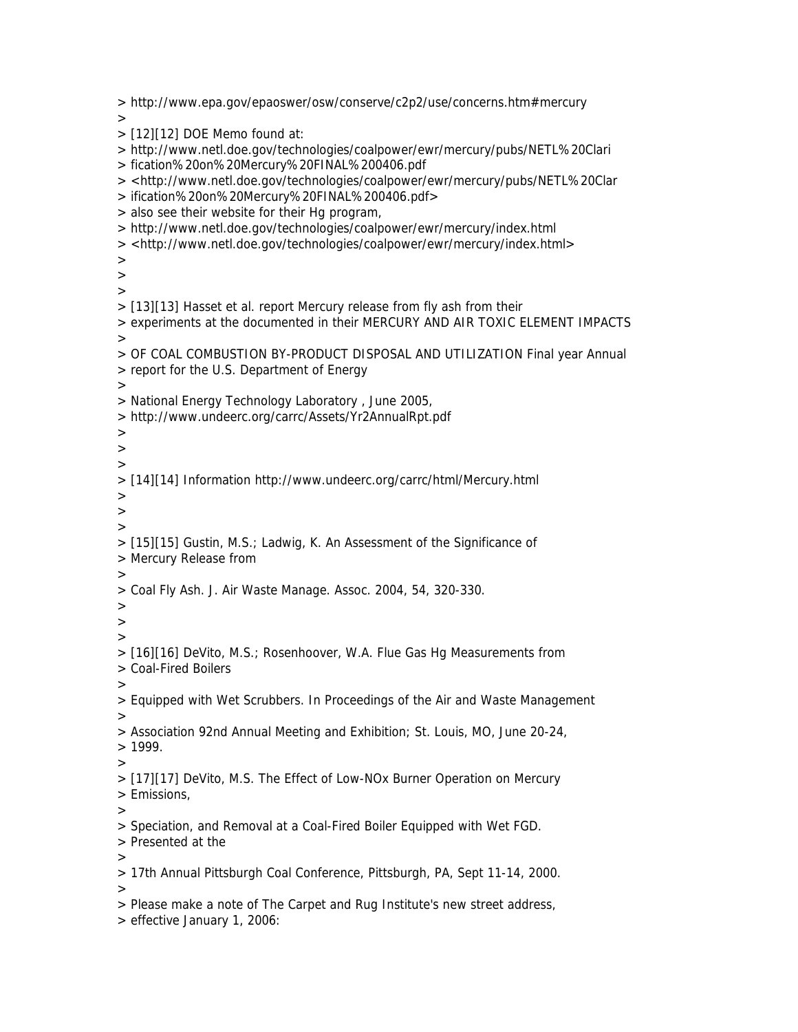> http://www.epa.gov/epaoswer/osw/conserve/c2p2/use/concerns.htm#mercury >  $>$  [12][12] DOE Memo found at: > http://www.netl.doe.gov/technologies/coalpower/ewr/mercury/pubs/NETL%20Clari > fication%20on%20Mercury%20FINAL%200406.pdf > <http://www.netl.doe.gov/technologies/coalpower/ewr/mercury/pubs/NETL%20Clar > ification%20on%20Mercury%20FINAL%200406.pdf> > also see their website for their Hg program, > http://www.netl.doe.gov/technologies/coalpower/ewr/mercury/index.html > <http://www.netl.doe.gov/technologies/coalpower/ewr/mercury/index.html> > > > > [13][13] Hasset et al. report Mercury release from fly ash from their > experiments at the documented in their MERCURY AND AIR TOXIC ELEMENT IMPACTS > > OF COAL COMBUSTION BY-PRODUCT DISPOSAL AND UTILIZATION Final year Annual > report for the U.S. Department of Energy  $>$ > National Energy Technology Laboratory , June 2005, > http://www.undeerc.org/carrc/Assets/Yr2AnnualRpt.pdf > > > > [14][14] Information http://www.undeerc.org/carrc/html/Mercury.html > >  $\rightarrow$ > [15][15] Gustin, M.S.; Ladwig, K. An Assessment of the Significance of > Mercury Release from > > Coal Fly Ash. J. Air Waste Manage. Assoc. 2004, 54, 320-330. > > > > [16][16] DeVito, M.S.; Rosenhoover, W.A. Flue Gas Hg Measurements from > Coal-Fired Boilers > > Equipped with Wet Scrubbers. In Proceedings of the Air and Waste Management > > Association 92nd Annual Meeting and Exhibition; St. Louis, MO, June 20-24,  $> 1999.$ > > [17][17] DeVito, M.S. The Effect of Low-NOx Burner Operation on Mercury > Emissions, > > Speciation, and Removal at a Coal-Fired Boiler Equipped with Wet FGD. > Presented at the  $>$ > 17th Annual Pittsburgh Coal Conference, Pittsburgh, PA, Sept 11-14, 2000.  $\geq$ > Please make a note of The Carpet and Rug Institute's new street address, > effective January 1, 2006: